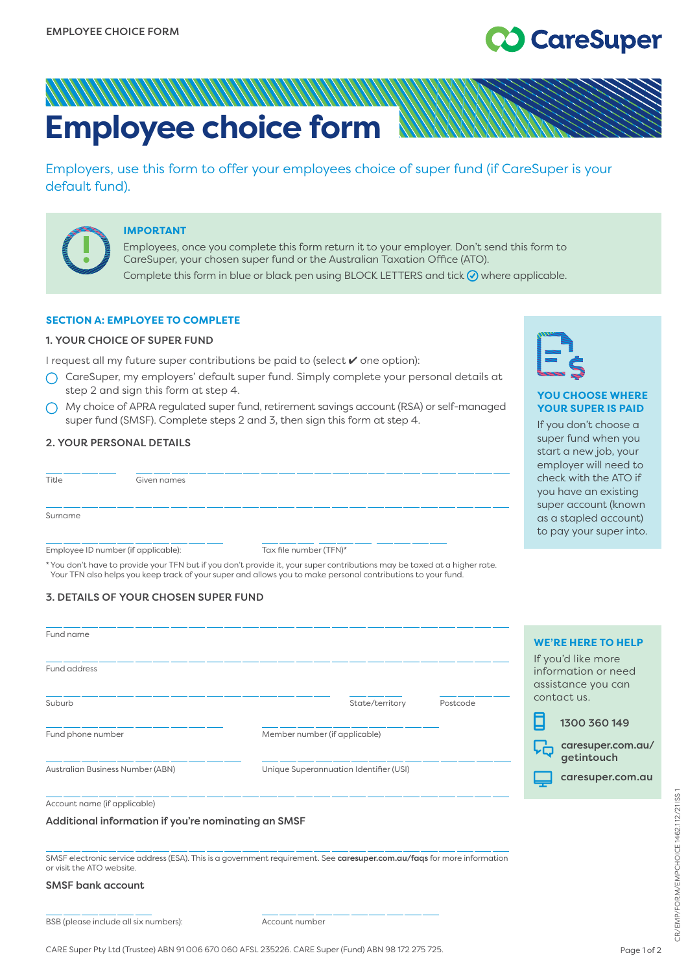# **CareSuper**

# **Employee choice form**

Employers, use this form to offer your employees choice of super fund (if CareSuper is your default fund).



#### **IMPORTANT**

Employees, once you complete this form return it to your employer. Don't send this form to CareSuper, your chosen super fund or the Australian Taxation Office (ATO). Complete this form in blue or black pen using BLOCK LETTERS and tick  $\bigcirc$  where applicable.

# **SECTION A: EMPLOYEE TO COMPLETE**

#### 1. YOUR CHOICE OF SUPER FUND

I request all my future super contributions be paid to (select ✔ one option):

- $\bigcap$  CareSuper, my employers' default super fund. Simply complete your personal details at step 2 and sign this form at step 4.
- My choice of APRA regulated super fund, retirement savings account (RSA) or self-managed super fund (SMSF). Complete steps 2 and 3, then sign this form at step 4.

# 2. YOUR PERSONAL DETAILS

| Title   | Given names                         |                                                                                                                          |  |  |  |
|---------|-------------------------------------|--------------------------------------------------------------------------------------------------------------------------|--|--|--|
| Surname |                                     |                                                                                                                          |  |  |  |
|         | Employee ID number (if applicable): | Tax file number (TFN)*                                                                                                   |  |  |  |
|         |                                     | *You don't have to provide your TFN but if you don't provide it, your super contributions may be taxed at a higher rate. |  |  |  |

Your TFN also helps you keep track of your super and allows you to make personal contributions to your fund.

# 3. DETAILS OF YOUR CHOSEN SUPER FUND

| Fund name                        |                                           | <b>WE'RE HERE TO HELP</b><br>If you'd like more |
|----------------------------------|-------------------------------------------|-------------------------------------------------|
| Fund address                     | information or need<br>assistance you can |                                                 |
| Suburb                           | State/territory<br>Postcode               | contact us.<br>1300 360 149                     |
| Fund phone number                | Member number (if applicable)             | caresuper.com.au/<br>ĻĠ<br>getintouch           |
| Australian Business Number (ABN) | Unique Superannuation Identifier (USI)    | caresuper.com.au                                |
| Account name (if applicable)     |                                           |                                                 |

#### Additional information if you're nominating an SMSF

SMSF electronic service address (ESA). This is a government requirement. See [caresuper.com.au/faqs](http://www.caresuper.com.au/faqs) for more information or visit the ATO website.

# SMSF bank account

BSB (please include all six numbers): Account number



# **YOU CHOOSE WHERE YOUR SUPER IS PAID**

If you don't choose a super fund when you start a new job, your employer will need to check with the ATO if you have an existing super account (known as a stapled account) to pay your super into.